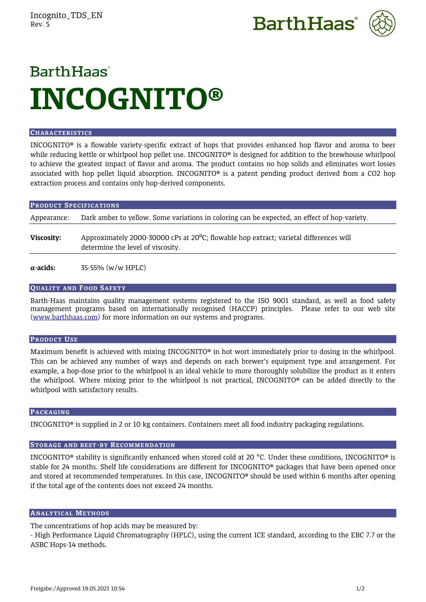



# **Barth Haas INCOGNITO®**

#### **CHARACTERISTICS**

INCOGNITO® is a flowable variety-specific extract of hops that provides enhanced hop flavor and aroma to beer while reducing kettle or whirlpool hop pellet use. INCOGNITO® is designed for addition to the brewhouse whirlpool to achieve the greatest impact of flavor and aroma. The product contains no hop solids and eliminates wort losses associated with hop pellet liquid absorption. INCOGNITO® is a patent pending product derived from a CO2 hop extraction process and contains only hop-derived components.

| <b>PRODUCT SPECIFICATIONS</b> |                                                                                                                                         |
|-------------------------------|-----------------------------------------------------------------------------------------------------------------------------------------|
| Appearance:                   | Dark amber to yellow. Some variations in coloring can be expected, an effect of hop-variety.                                            |
| <b>Viscosity:</b>             | Approximately 2000-30000 cPs at 20 <sup>o</sup> C; flowable hop extract; varietal differences will<br>determine the level of viscosity. |
| $\alpha$ -acids:              | 35-55% (w/w HPLC)                                                                                                                       |

#### **QUALITY AND FOOD SAFETY**

Barth-Haas maintains quality management systems registered to the ISO 9001 standard, as well as food safety management programs based on internationally recognised (HACCP) principles. Please refer to our web site [\(www.barthhaas.com\)](http://www.barthhaas.com/) for more information on our systems and programs.

### **PRODUCT USE**

Maximum benefit is achieved with mixing INCOGNITO® in hot wort immediately prior to dosing in the whirlpool. This can be achieved any number of ways and depends on each brewer's equipment type and arrangement. For example, a hop-dose prior to the whirlpool is an ideal vehicle to more thoroughly solubilize the product as it enters the whirlpool. Where mixing prior to the whirlpool is not practical, INCOGNITO® can be added directly to the whirlpool with satisfactory results.

#### **PACKAGING**

INCOGNITO® is supplied in 2 or 10 kg containers. Containers meet all food industry packaging regulations.

## **STORAGE AND BEST-BY RECOMMENDATION**

INCOGNITO® stability is significantly enhanced when stored cold at 20 °C. Under these conditions, INCOGNITO® is stable for 24 months. Shelf life considerations are different for INCOGNITO® packages that have been opened once and stored at recommended temperatures. In this case, INCOGNITO® should be used within 6 months after opening if the total age of the contents does not exceed 24 months.

### **ANALYTICAL METHODS**

The concentrations of hop acids may be measured by:

- High Performance Liquid Chromatography (HPLC), using the current ICE standard, according to the EBC 7.7 or the ASBC Hops-14 methods.